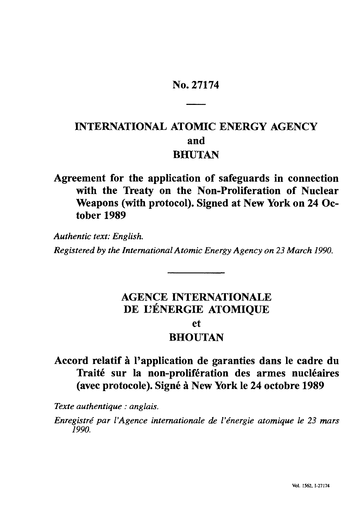# No. 27174

# **INTERNATIONAL ATOMIC ENERGY AGENCY and BHUTAN**

# **Agreement for the application of safeguards in connection with the Treaty on the Non-Proliferation of Nuclear**  Weapons (with protocol). Signed at New York on 24 Oc**tober 1989**

*Authentic text: English. Registered by the International Atomic Energy Agency on 23 March 1990.*

# **AGENCE INTERNATIONALE DE L'ÉNERGIE ATOMIQUE**

# **et**

# **BHOUTAN**

# **Accord relatif à l'application de garanties dans le cadre du Traité sur la non-prolifération des armes nucléaires (avec protocole). Signé à New York le 24 octobre 1989**

*Texte authentique : anglais.*

*Enregistré par l'Agence internationale de l'énergie atomique le 23 mars 1990.*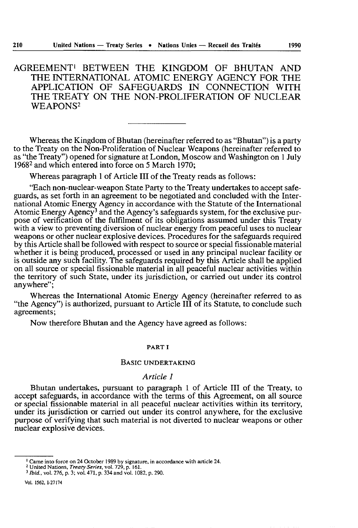AGREEMENT1 BETWEEN THE KINGDOM OF BHUTAN AND THE INTERNATIONAL ATOMIC ENERGY AGENCY FOR THE APPLICATION OF SAFEGUARDS IN CONNECTION WITH THE TREATY ON THE NON-PROLIFERATION OF NUCLEAR WEAPONS2

Whereas the Kingdom of Bhutan (hereinafter referred to as "Bhutan") is a party to the Treaty on the Non-Proliferation of Nuclear Weapons (hereinafter referred to as "the Treaty") opened for signature at London, Moscow and Washington on 1 July 19682 and which entered into force on 5 March 1970;

Whereas paragraph 1 of Article III of the Treaty reads as follows:

"Each non-nuclear-weapon State Party to the Treaty undertakes to accept safe guards, as set forth in an agreement to be negotiated and concluded with the Inter national Atomic Energy Agency in accordance with the Statute of the International Atomic Energy Agency<sup>3</sup> and the Agency's safeguards system, for the exclusive purpose of verification of the fulfilment of its obligations assumed under this Treaty with a view to preventing diversion of nuclear energy from peaceful uses to nuclear weapons or other nuclear explosive devices. Procedures for the safeguards required by this Article shall be followed with respect to source or special fissionable material whether it is being produced, processed or used in any principal nuclear facility or is outside any such facility. The safeguards required by this Article shall be applied on all source or special fissionable material in all peaceful nuclear activities within the territory of such State, under its jurisdiction, or carried out under its control anywhere";

Whereas the International Atomic Energy Agency (hereinafter referred to as "the Agency") is authorized, pursuant to Article III of its Statute, to conclude such agreements;

Now therefore Bhutan and the Agency have agreed as follows:

#### PARTI

#### BASIC UNDERTAKING

## *Article 1*

Bhutan undertakes, pursuant to paragraph 1 of Article III of the Treaty, to accept safeguards, in accordance with the terms of this Agreement, on all source or special fissionable material in all peaceful nuclear activities within its territory, under its jurisdiction or carried out under its control anywhere, for the exclusive purpose of verifying that such material is not diverted to nuclear weapons or other nuclear explosive devices.

<sup>1</sup> Came into force on 24 October 1989 by signature, in accordance with article 24. *<sup>2</sup>*United Nations, *Treaty Series,* vol. 729, p. 161. <sup>3</sup>*Ibid.,* vol. 276, p. 3; vol. 471, p. 334 and vol. 1082, p. 290.

Vol. 1562, 1-27174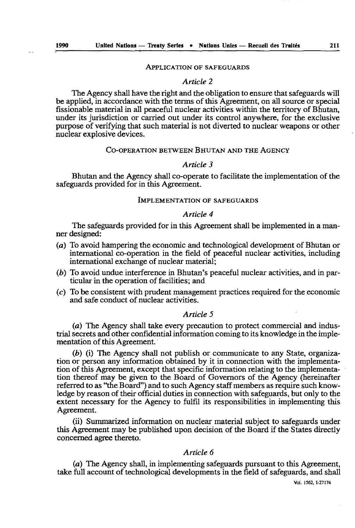#### APPLICATION OF SAFEGUARDS

#### *Article 2*

The Agency shall have the right and the obligation to ensure that safeguards will be applied, in accordance with the terms of this Agreement, on all source or special fissionable material in all peaceful nuclear activities within the territory of Bhutan, under its jurisdiction or carried out under its control anywhere, for the exclusive purpose of verifying that such material is not diverted to nuclear weapons or other nuclear explosive devices.

#### CO-OPERATION BETWEEN BHUTAN AND THE AGENCY

#### *Article 3*

Bhutan and the Agency shall co-operate to facilitate the implementation of the safeguards provided for in this Agreement.

#### IMPLEMENTATION OF SAFEGUARDS

## *Article 4*

The safeguards provided for in this Agreement shall be implemented in a man ner designed:

- *(a)* To avoid hampering the economic and technological development of Bhutan or international co-operation in the field of peaceful nuclear activities, including international exchange of nuclear material;
- *(b)* To avoid undue interference in Bhutan's peaceful nuclear activities, and in par ticular in the operation of facilities; and
- *(c)* To be consistent with prudent management practices required for the economic and safe conduct of nuclear activities.

# *Article 5*

*(a)* The Agency shall take every precaution to protect commercial and indus trial secrets and other confidential information coming to its knowledge in the imple mentation of this Agreement.

*(b)* (i) The Agency shall not publish or communicate to any State, organiza tion or person any information obtained by it in connection with the implementa tion of this Agreement, except that specific information relating to the implementation thereof may be given to the Board of Governors of the Agency (hereinafter referred to as "the Board") and to such Agency staff members as require such know ledge by reason of their official duties in connection with safeguards, but only to the extent necessary for the Agency to fulfil its responsibilities in implementing this Agreement.

(ii) Summarized information on nuclear material subject to safeguards under this Agreement may be published upon decision of the Board if the States directly concerned agree thereto.

## *Article 6*

*(a)* The Agency shall, in implementing safeguards pursuant to this Agreement, take full account of technological developments in the field of safeguards, and shall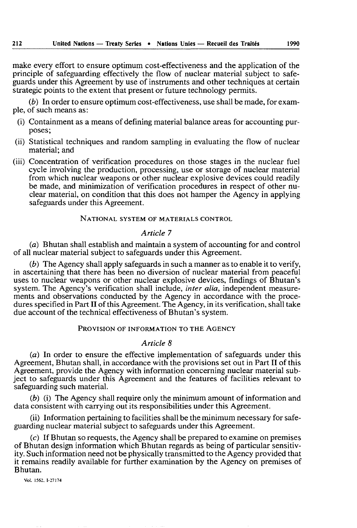make every effort to ensure optimum cost-effectiveness and the application of the principle of safeguarding effectively the flow of nuclear material subject to safe guards under this Agreement by use of instruments and other techniques at certain strategic points to the extent that present or future technology permits.

*(b)* In order to ensure optimum cost-effectiveness, use shall be made, for exam ple, of such means as:

- (i) Containment as a means of defining material balance areas for accounting pur poses;
- (ii) Statistical techniques and random sampling in evaluating the flow of nuclear material; and
- (iii) Concentration of verification procedures on those stages in the nuclear fuel cycle involving the production, processing, use or storage of nuclear material from which nuclear weapons or other nuclear explosive devices could readily be made, and minimization of verification procedures in respect of other nu clear material, on condition that this does not hamper the Agency in applying safeguards under this Agreement.

# NATIONAL SYSTEM OF MATERIALS CONTROL

## *Article 7*

*(a)* Bhutan shall establish and maintain a system of accounting for and control of all nuclear material subject to safeguards under this Agreement.

*(b)* The Agency shall apply safeguards in such a manner as to enable it to verify, in ascertaining that there has been no diversion of nuclear material from peaceful uses to nuclear weapons or other nuclear explosive devices, findings of Bhutan's system. The Agency's verification shall include, *inter alia,* independent measure ments and observations conducted by the Agency in accordance with the proce dures specified in Part II of this Agreement. The Agency, in its verification, shall take due account of the technical effectiveness of Bhutan's system.

## PROVISION OF INFORMATION TO THE AGENCY

# *Article 8*

(a) In order to ensure the effective implementation of safeguards under this Agreement, Bhutan shall, in accordance with the provisions set out in Part II of this Agreement, provide the Agency with information concerning nuclear material sub ject to safeguards under this Agreement and the features of facilities relevant to safeguarding such material.

*(b)* (i) The Agency shall require only the minimum amount of information and data consistent with carrying out its responsibilities under this Agreement.

(ii) Information pertaining to facilities shall be the minimum necessary for safe guarding nuclear material subject to safeguards under this Agreement.

(c) If Bhutan so requests, the Agency shall be prepared to examine on premises of Bhutan design information which Bhutan regards as being of particular sensitiv ity. Such information need not be physically transmitted to the Agency provided that it remains readily available for further examination by the Agency on premises of Bhutan.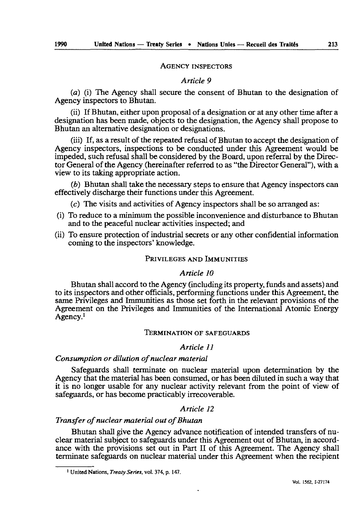## AGENCY INSPECTORS

# *Article 9*

*(a)* (i) The Agency shall secure the consent of Bhutan to the designation of Agency inspectors to Bhutan.

(ii) If Bhutan, either upon proposal of a designation or at any other time after a designation has been made, objects to the designation, the Agency shall propose to Bhutan an alternative designation or designations.

(iii) If, as a result of the repeated refusal of Bhutan to accept the designation of Agency inspectors, inspections to be conducted under this Agreement would be impeded, such refusal shall be considered by the Board, upon referral by the Direc tor General of the Agency (hereinafter referred to as "the Director General"), with a view to its taking appropriate action.

*(b)* Bhutan shall take the necessary steps to ensure that Agency inspectors can effectively discharge their functions under this Agreement.

(c) The visits and activities of Agency inspectors shall be so arranged as:

- (i) To reduce to a minimum the possible inconvenience and disturbance to Bhutan and to the peaceful nuclear activities inspected; and
- (ii) To ensure protection of industrial secrets or any other confidential information coming to the inspectors' knowledge.

# PRIVILEGES AND IMMUNITIES

# *Article 10*

Bhutan shall accord to the Agency (including its property, funds and assets) and to its inspectors and other officials, performing functions under this Agreement, the same Privileges and Immunities as those set forth in the relevant provisions of the Agreement on the Privileges and Immunities of the International Atomic Energy Agency.<sup>1</sup>

#### TERMINATION OF SAFEGUARDS

## *Article 11*

# *Consumption or dilution of nuclear material*

Safeguards shall terminate on nuclear material upon determination by the Agency that the material has been consumed, or has been diluted in such a way that it is no longer usable for any nuclear activity relevant from the point of view of safeguards, or has become practicably irrecoverable.

# *Article 12*

# *Transfer of nuclear material out of Bhutan*

Bhutan shall give the Agency advance notification of intended transfers of nu clear material subject to safeguards under this Agreement out of Bhutan, in accord ance with the provisions set out in Part II of this Agreement. The Agency shall terminate safeguards on nuclear material under this Agreement when the recipient

<sup>1</sup> United Nations, *Treaty Series,* vol. 374, p. 147.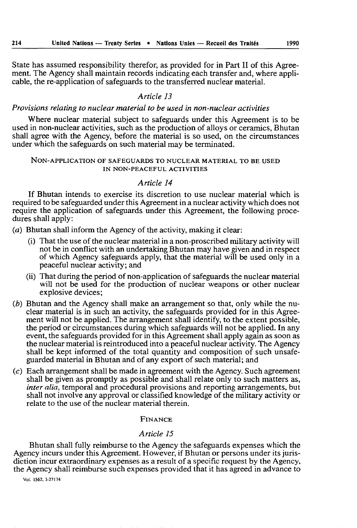State has assumed responsibility therefor, as provided for in Part II of this Agree ment. The Agency shall maintain records indicating each transfer and, where appli cable, the re-application of safeguards to the transferred nuclear material.

## *Article 13*

## *Provisions relating to nuclear material to be used in non-nuclear activities*

Where nuclear material subject to safeguards under this Agreement is to be used in non-nuclear activities, such as the production of alloys or ceramics, Bhutan shall agree with the Agency, before the material is so used, on the circumstances under which the safeguards on such material may be terminated.

### NON-APPLICATION OF SAFEGUARDS TO NUCLEAR MATERIAL TO BE USED IN NON-PEACEFUL ACTIVITIES

# *Article 14*

If Bhutan intends to exercise its discretion to use nuclear material which is required to be safeguarded under this Agreement in a nuclear activity which does not require the application of safeguards under this Agreement, the following proce dures shall apply:

*(a)* Bhutan shall inform the Agency of the activity, making it clear:

- (i) That the use of the nuclear material in a non-proscribed military activity will not be in conflict with an undertaking Bhutan may have given and in respect of which Agency safeguards apply, that the material will be used only in a peaceful nuclear activity; and
- (ii) That during the period of non-application of safeguards the nuclear material will not be used for the production of nuclear weapons or other nuclear explosive devices;
- *(b)* Bhutan and the Agency shall make an arrangement so that, only while the nu clear material is in such an activity, the safeguards provided for in this Agree ment will not be applied. The arrangement shall identify, to the extent possible, the period or circumstances during which safeguards will not be applied. In any event, the safeguards provided for in this Agreement shall apply again as soon as the nuclear material is reintroduced into a peaceful nuclear activity. The Agency shall be kept informed of the total quantity and composition of such unsafeguarded material in Bhutan and of any export of such material; and
- (c) Each arrangement shall be made in agreement with the Agency. Such agreement shall be given as promptly as possible and shall relate only to such matters as, *inter alia, temporal and procedural provisions and reporting arrangements, but* shall not involve any approval or classified knowledge of the military activity or relate to the use of the nuclear material therein.

## FINANCE

# *Article 15*

Bhutan shall fully reimburse to the Agency the safeguards expenses which the Agency incurs under this Agreement. However, if Bhutan or persons under its juris diction incur extraordinary expenses as a result of a specific request by the Agency, the Agency shall reimburse such expenses provided that it has agreed in advance to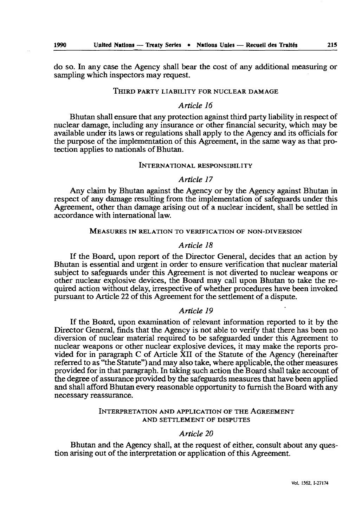do so. In any case the Agency shall bear the cost of any additional measuring or sampling which inspectors may request.

#### THIRD PARTY LIABILITY FOR NUCLEAR DAMAGE

## *Article 16*

Bhutan shall ensure that any protection against third party liability in respect of nuclear damage, including any insurance or other financial security, which may be available under its laws or regulations shall apply to the Agency and its officials for the purpose of the implementation of this Agreement, in the same way as that pro tection applies to nationals of Bhutan.

#### INTERNATIONAL RESPONSIBILITY

### *Article 17*

Any claim by Bhutan against the Agency or by the Agency against Bhutan in respect of any damage resulting from the implementation of safeguards under this Agreement, other than damage arising out of a nuclear incident, shall be settled in accordance with international law.

### MEASURES IN RELATION TO VERIFICATION OF NON-DIVERSION

# *Article 18*

If the Board, upon report of the Director General, decides that an action by Bhutan is essential and urgent in order to ensure verification that nuclear material subject to safeguards under this Agreement is not diverted to nuclear weapons or other nuclear explosive devices, the Board may call upon Bhutan to take the re quired action without delay, irrespective of whether procedures have been invoked pursuant to Article 22 of this Agreement for the settlement of a dispute.

# *Article 19*

If the Board, upon examination of relevant information reported to it by the Director General, finds that the Agency is not able to verify that there has been no diversion of nuclear material required to be safeguarded under this Agreement to nuclear weapons or other nuclear explosive devices, it may make the reports pro vided for in paragraph C of Article XII of the Statute of the Agency (hereinafter referred to as "the Statute") and may also take, where applicable, the other measures provided for in that paragraph. In taking such action the Board shall take account of the degree of assurance provided by the safeguards measures that have been applied and shall afford Bhutan every reasonable opportunity to furnish the Board with any necessary reassurance.

## INTERPRETATION AND APPLICATION OF THE AGREEMENT AND SETTLEMENT OF DISPUTES

## *Article 20*

Bhutan and the Agency shall, at the request of either, consult about any ques tion arising out of the interpretation or application of this Agreement.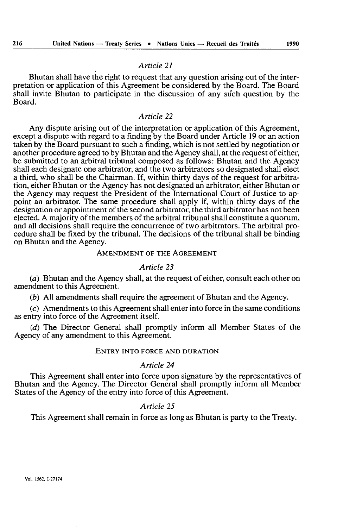Bhutan shall have the right to request that any question arising out of the inter pretation or application of this Agreement be considered by the Board. The Board shall invite Bhutan to participate in the discussion of any such question by the Board.

# *Article 22*

Any dispute arising out of the interpretation or application of this Agreement, except a dispute with regard to a finding by the Board under Article 19 or an action taken by the Board pursuant to such a finding, which is not settled by negotiation or another procedure agreed to by Bhutan and the Agency shall, at the request of either, be submitted to an arbitral tribunal composed as follows: Bhutan and the Agency shall each designate one arbitrator, and the two arbitrators so designated shall elect a third, who shall be the Chairman. If, within thirty days of the request for arbitra tion, either Bhutan or the Agency has not designated an arbitrator, either Bhutan or the Agency may request the President of the International Court of Justice to ap point an arbitrator. The same procedure shall apply if, within thirty days of the designation or appointment of the second arbitrator, the third arbitrator has not been elected. A majority of the members of the arbitral tribunal shall constitute a quorum, and all decisions shall require the concurrence of two arbitrators. The arbitral pro cedure shall be fixed by the tribunal. The decisions of the tribunal shall be binding on Bhutan and the Agency.

## AMENDMENT OF THE AGREEMENT

### *Article 23*

*(a)* Bhutan and the Agency shall, at the request of either, consult each other on amendment to this Agreement.

*(b)* All amendments shall require the agreement of Bhutan and the Agency.

(c) Amendments to this Agreement shall enter into force in the same conditions as entry into force of the Agreement itself.

*(d)* The Director General shall promptly inform all Member States of the Agency of any amendment to this Agreement.

## ENTRY INTO FORCE AND DURATION

# *Article 24*

This Agreement shall enter into force upon signature by the representatives of Bhutan and the Agency. The Director General shall promptly inform all Member States of the Agency of the entry into force of this Agreement.

### *Article 25*

This Agreement shall remain in force as long as Bhutan is party to the Treaty.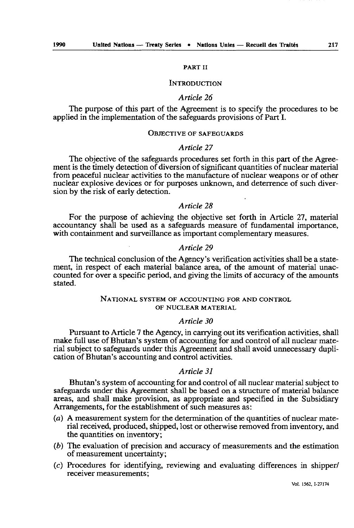### PART II

# **INTRODUCTION**

## *Article 26*

The purpose of this part of the Agreement is to specify the procedures to be applied in the implementation of the safeguards provisions of Part I.

# OBJECTIVE OF SAFEGUARDS

## *Article 27*

The objective of the safeguards procedures set forth in this part of the Agree ment is the timely detection of diversion of significant quantities of nuclear material from peaceful nuclear activities to the manufacture of nuclear weapons or of other nuclear explosive devices or for purposes unknown, and deterrence of such diver sion by the risk of early detection.

## *Article 28*

For the purpose of achieving the objective set forth in Article 27, material accountancy shall be used as a safeguards measure of fundamental importance, with containment and surveillance as important complementary measures.

## *Article 29*

The technical conclusion of the Agency's verification activities shall be a state ment, in respect of each material balance area, of the amount of material unac counted for over a specific period, and giving the limits of accuracy of the amounts stated.

#### NATIONAL SYSTEM OF ACCOUNTING FOR AND CONTROL OF NUCLEAR MATERIAL

# *Article 30*

Pursuant to Article 7 the Agency, in carrying out its verification activities, shall make full use of Bhutan's system of accounting for and control of all nuclear mate rial subject to safeguards under this Agreement and shall avoid unnecessary dupli cation of Bhutan's accounting and control activities.

# *Article 31*

Bhutan's system of accounting for and control of all nuclear material subject to safeguards under this Agreement shall be based on a structure of material balance areas, and shall make provision, as appropriate and specified in the Subsidiary Arrangements, for the establishment of such measures as:

- *(a)* A measurement system for the determination of the quantities of nuclear mate rial received, produced, shipped, lost or otherwise removed from inventory, and the quantities on inventory;
- *(b)* The evaluation of precision and accuracy of measurements and the estimation of measurement uncertainty;
- (c) Procedures for identifying, reviewing and evaluating differences in shipper/ receiver measurements;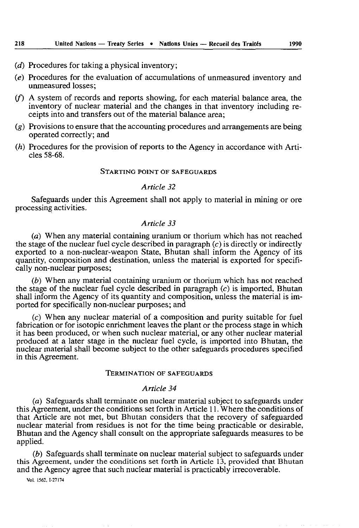- - *(d)* Procedures for taking a physical inventory;
	- *(e)* Procedures for the evaluation of accumulations of unmeasured inventory and unmeasured losses;
	- $(f)$  A system of records and reports showing, for each material balance area, the inventory of nuclear material and the changes in that inventory including re ceipts into and transfers out of the material balance area;
	- *(g)* Provisions to ensure that the accounting procedures and arrangements are being operated correctly; and
	- *(h)* Procedures for the provision of reports to the Agency in accordance with Arti cles 58-68.

# STARTING POINT OF SAFEGUARDS

# *Article 32*

Safeguards under this Agreement shall not apply to material in mining or ore processing activities.

# *Article 33*

*(a)* When any material containing uranium or thorium which has not reached the stage of the nuclear fuel cycle described in paragraph  $(c)$  is directly or indirectly exported to a non-nuclear-weapon State, Bhutan shall inform the Agency of its quantity, composition and destination, unless the material is exported for specifi cally non-nuclear purposes;

*(b)* When any material containing uranium or thorium which has not reached the stage of the nuclear fuel cycle described in paragraph *(c)* is imported, Bhutan shall inform the Agency of its quantity and composition, unless the material is im ported for specifically non-nuclear purposes; and

(c) When any nuclear material of a composition and purity suitable for fuel fabrication or for isotopic enrichment leaves the plant or the process stage in which it has been produced, or when such nuclear material, or any other nuclear material produced at a later stage in the nuclear fuel cycle, is imported into Bhutan, the nuclear material shall become subject to the other safeguards procedures specified in this Agreement.

#### TERMINATION OF SAFEGUARDS

# *Article 34*

*(a)* Safeguards shall terminate on nuclear material subject to safeguards under this Agreement, under the conditions set forth in Article 11. Where the conditions of that Article are not met, but Bhutan considers that the recovery of safeguarded nuclear material from residues is not for the time being practicable or desirable, Bhutan and the Agency shall consult on the appropriate safeguards measures to be applied.

*(b)* Safeguards shall terminate on nuclear material subject to safeguards under this Agreement, under the conditions set forth in Article 13, provided that Bhutan and the Agency agree that such nuclear material is practicably irrecoverable.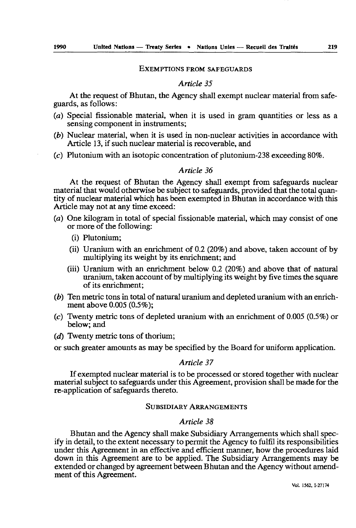## EXEMPTIONS FROM SAFEGUARDS

## *Article 35*

At the request of Bhutan, the Agency shall exempt nuclear material from safe guards, as follows:

- *(a)* Special fissionable material, when it is used in gram quantities or less as a sensing component in instruments;
- *(b)* Nuclear material, when it is used in non-nuclear activities in accordance with Article 13, if such nuclear material is recoverable, and
- (c) Plutonium with an isotopic concentration of plutonium-238 exceeding 80%.

#### *Article 36*

At the request of Bhutan the Agency shall exempt from safeguards nuclear material that would otherwise be subject to safeguards, provided that the total quan tity of nuclear material which has been exempted in Bhutan in accordance with this Article may not at any time exceed:

- *(a)* One kilogram in total of special fissionable material, which may consist of one or more of the following:
	- (i) Plutonium;
	- (ii) Uranium with an enrichment of 0.2 (20%) and above, taken account of by multiplying its weight by its enrichment; and
	- (iii) Uranium with an enrichment below 0.2 (20%) and above that of natural uranium, taken account of by multiplying its weight by five times the square of its enrichment;
- *(b)* Ten metric tons in total of natural uranium and depleted uranium with an enrich ment above 0.005 (0.5%);
- (c) Twenty metric tons of depleted uranium with an enrichment of 0.005 (0.5%) or below; and
- *(d)* Twenty metric tons of thorium;

or such greater amounts as may be specified by the Board for uniform application.

# *Article 37*

If exempted nuclear material is to be processed or stored together with nuclear material subject to safeguards under this Agreement, provision shall be made for the re-application of safeguards thereto.

## SUBSIDIARY ARRANGEMENTS

## *Article 38*

Bhutan and the Agency shall make Subsidiary Arrangements which shall spec ify in detail, to the extent necessary to permit the Agency to fulfil its responsibilities under this Agreement in an effective and efficient manner, how the procedures laid down in this Agreement are to be applied. The Subsidiary Arrangements may be extended or changed by agreement between Bhutan and the Agency without amend ment of this Agreement.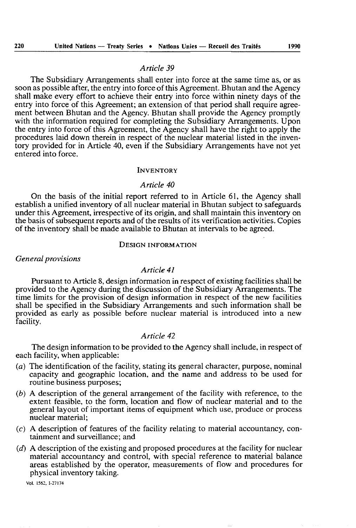The Subsidiary Arrangements shall enter into force at the same time as, or as soon as possible after, the entry into force of this Agreement. Bhutan and the Agency shall make every effort to achieve their entry into force within ninety days of the entry into force of this Agreement; an extension of that period shall require agree ment between Bhutan and the Agency. Bhutan shall provide the Agency promptly with the information required for completing the Subsidiary Arrangements. Upon the entry into force of this Agreement, the Agency shall have the right to apply the procedures laid down therein in respect of the nuclear material listed in the inven tory provided for in Article 40, even if the Subsidiary Arrangements have not yet entered into force.

#### **INVENTORY**

# *Article 40*

On the basis of the initial report referred to in Article 61, the Agency shall establish a unified inventory of all nuclear material in Bhutan subject to safeguards under this Agreement, irrespective of its origin, and shall maintain this inventory on the basis of subsequent reports and of the results of its verification activities. Copies of the inventory shall be made available to Bhutan at intervals to be agreed.

## DESIGN INFORMATION

*General provisions*

## *Article 41*

Pursuant to Article 8, design information in respect of existing facilities shall be provided to the Agency during the discussion of the Subsidiary Arrangements. The time limits for the provision of design information in respect of the new facilities shall be specified in the Subsidiary Arrangements and such information shall be provided as early as possible before nuclear material is introduced into a new facility.

# *Article 42*

The design information to be provided to the Agency shall include, in respect of each facility, when applicable:

- *(a)* The identification of the facility, stating its general character, purpose, nominal capacity and geographic location, and the name and address to be used for routine business purposes;
- *(b)* A description of the general arrangement of the facility with reference, to the extent feasible, to the form, location and flow of nuclear material and to the general layout of important items of equipment which use, produce or process nuclear material;
- (c) A description of features of the facility relating to material accountancy, con tainment and surveillance; and
- *(d)* A description of the existing and proposed procedures at the facility for nuclear material accountancy and control, with special reference to material balance areas established by the operator, measurements of flow and procedures for physical inventory taking.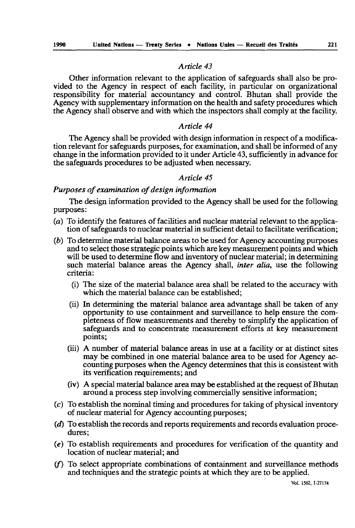Other information relevant to the application of safeguards shall also be pro vided to the Agency in respect of each facility, in particular on organizational responsibility for material accountancy and control. Bhutan shall provide the Agency with supplementary information on the health and safety procedures which the Agency shall observe and with which the inspectors shall comply at the facility.

# *Article 44*

The Agency shall be provided with design information in respect of a modifica tion relevant for safeguards purposes, for examination, and shall be informed of any change in the information provided to it under Article 43, sufficiently in advance for the safeguards procedures to be adjusted when necessary.

#### *Article 45*

# *Purposes of examination of design information*

The design information provided to the Agency shall be used for the following purposes:

- *(a)* To identify the features of facilities and nuclear material relevant to the applica tion of safeguards to nuclear material in sufficient detail to facilitate verification;
- *(b)* To determine material balance areas to be used for Agency accounting purposes and to select those strategic points which are key measurement points and which will be used to determine flow and inventory of nuclear material; in determining such material balance areas the Agency shall, *inter alia,* use the following criteria:
	- (i) The size of the material balance area shall be related to the accuracy with which the material balance can be established;
	- (ii) In determining the material balance area advantage shall be taken of any opportunity to use containment and surveillance to help ensure the com pleteness of flow measurements and thereby to simplify the application of safeguards and to concentrate measurement efforts at key measurement points;
	- (iii) A number of material balance areas in use at a facility or at distinct sites may be combined in one material balance area to be used for Agency ac counting purposes when the Agency determines that this is consistent with its verification requirements; and
	- (iv) A special material balance area may be established at the request of Bhutan around a process step involving commercially sensitive information;
- (c) To establish the nominal timing and procedures for taking of physical inventory of nuclear material for Agency accounting purposes;
- *(d)* To establish the records and reports requirements and records evaluation proce dures;
- *(e)* To establish requirements and procedures for verification of the quantity and location of nuclear material; and
- $(f)$  To select appropriate combinations of containment and surveillance methods and techniques and the strategic points at which they are to be applied.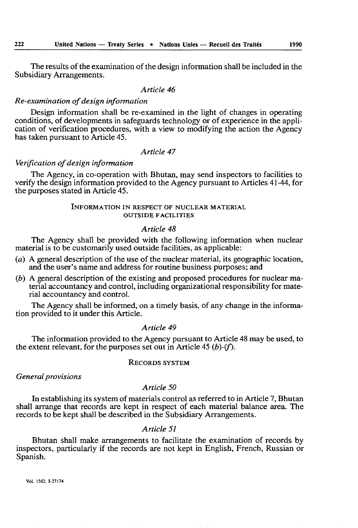The results of the examination of the design information shall be included in the Subsidiary Arrangements.

# *Article 46*

# *Re-examination of design information*

Design information shall be re-examined in the light of changes in operating conditions, of developments in safeguards technology or of experience in the appli cation of verification procedures, with a view to modifying the action the Agency has taken pursuant to Article 45.

## *Article 47*

# *Verification of design information*

The Agency, in co-operation with Bhutan, may send inspectors to facilities to verify the design information provided to the Agency pursuant to Articles 41-44, for the purposes stated in Article 45.

# INFORMATION IN RESPECT OF NUCLEAR MATERIAL OUTSIDE FACILITIES

# *Article 48*

The Agency shall be provided with the following information when nuclear material is to be customarily used outside facilities, as applicable:

- *(a)* A general description of the use of the nuclear material, its geographic location, and the user's name and address for routine business purposes; and
- *(b)* A general description of the existing and proposed procedures for nuclear ma terial accountancy and control, including organizational responsibility for mate rial accountancy and control.

The Agency shall be informed, on a timely basis, of any change in the informa tion provided to it under this Article.

## *Article 49*

The information provided to the Agency pursuant to Article 48 may be used, to the extent relevant, for the purposes set out in Article 45  $(b)-(f)$ .

### RECORDS SYSTEM

*General provisions*

## *Article 50*

In establishing its system of materials control as referred to in Article 7, Bhutan shall arrange that records are kept in respect of each material balance area. The records to be kept shall be described in the Subsidiary Arrangements.

# *Article 51*

Bhutan shall make arrangements to facilitate the examination of records by inspectors, particularly if the records are not kept in English, French, Russian or Spanish.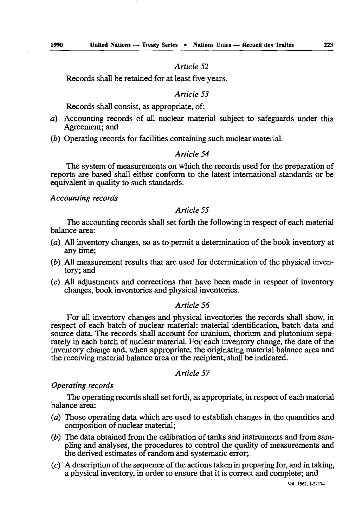Records shall be retained for at least five years.

## *Article 53*

Records shall consist, as appropriate, of:

- *a)* Accounting records of all nuclear material subject to safeguards under this Agreement; and
- *(b)* Operating records for facilities containing such nuclear material.

# *Article 54*

The system of measurements on which the records used for the preparation of reports are based shall either conform to the latest international standards or be equivalent in quality to such standards.

## *Accounting records*

# *Article 55*

The accounting records shall set forth the following in respect of each material balance area:

- (a) All inventory changes, so as to permit a determination of the book inventory at any time;
- *(b)* All measurement results that are used for determination of the physical inven tory; and
- $(c)$  All adjustments and corrections that have been made in respect of inventory changes, book inventories and physical inventories.

## *Article 56*

For all inventory changes and physical inventories the records shall show, in respect of each batch of nuclear material: material identification, batch data and source data. The records shall account for uranium, thorium and plutonium sepa rately in each batch of nuclear material. For each inventory change, the date of the inventory change and, when appropriate, the originating material balance area and the receiving material balance area or the recipient, shall be indicated.

# *Article 57*

# *Operating records*

The operating records shall set forth, as appropriate, in respect of each material balance area:

- *(a)* Those operating data which are used to establish changes in the quantities and composition of nuclear material;
- *(b)* The data obtained from the calibration of tanks and instruments and from sam pling and analyses, the procedures to control the quality of measurements and the derived estimates of random and systematic error;
- $(c)$  A description of the sequence of the actions taken in preparing for, and in taking, a physical inventory, in order to ensure that it is correct and complete; and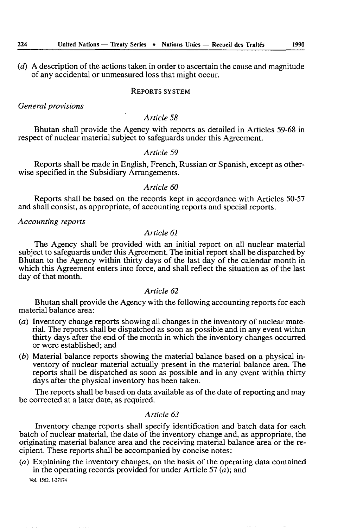*(d)* A description of the actions taken in order to ascertain the cause and magnitude of any accidental or unmeasured loss that might occur.

#### REPORTS SYSTEM

*General provisions*

*Article 58*

Bhutan shall provide the Agency with reports as detailed in Articles 59-68 in respect of nuclear material subject to safeguards under this Agreement.

#### *Article 59*

Reports shall be made in English, French, Russian or Spanish, except as other wise specified in the Subsidiary Arrangements.

## *Article 60*

Reports shall be based on the records kept in accordance with Articles 50-57 and shall consist, as appropriate, of accounting reports and special reports.

*Accounting reports*

# *Article 61*

The Agency shall be provided with an initial report on all nuclear material subject to safeguards under this Agreement. The initial report shall be dispatched by Bhutan to the Agency within thirty days of the last day of the calendar month in which this Agreement enters into force, and shall reflect the situation as of the last day of that month.

# *Article 62*

Bhutan shall provide the Agency with the following accounting reports for each material balance area:

- *(a)* Inventory change reports showing all changes in the inventory of nuclear mate rial. The reports shall be dispatched as soon as possible and in any event within thirty days after the end of the month in which the inventory changes occurred or were established; and
- *(b)* Material balance reports showing the material balance based on a physical in ventory of nuclear material actually present in the material balance area. The reports shall be dispatched as soon as possible and in any event within thirty days after the physical inventory has been taken.

The reports shall be based on data available as of the date of reporting and may be corrected at a later date, as required.

# *Article 63*

Inventory change reports shall specify identification and batch data for each batch of nuclear material, the date of the inventory change and, as appropriate, the originating material balance area and the receiving material balance area or the re cipient. These reports shall be accompanied by concise notes:

*(a)* Explaining the inventory changes, on the basis of the operating data contained in the operating records provided for under Article 57 *(a);* and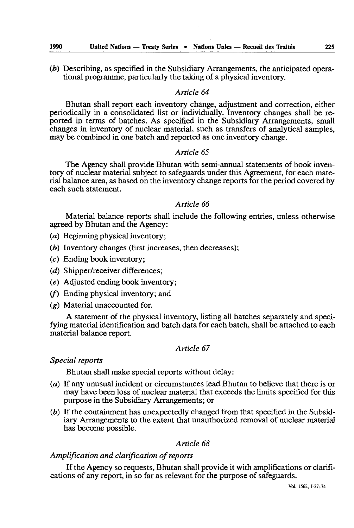*(b)* Describing, as specified in the Subsidiary Arrangements, the anticipated opera tional programme, particularly the taking of a physical inventory.

# *Article 64*

Bhutan shall report each inventory change, adjustment and correction, either periodically in a consolidated list or individually. Inventory changes shall be re ported in terms of batches. As specified in the Subsidiary Arrangements, small changes in inventory of nuclear material, such as transfers of analytical samples, may be combined in one batch and reported as one inventory change.

# *Article 65*

The Agency shall provide Bhutan with semi-annual statements of book inven tory of nuclear material subject to safeguards under this Agreement, for each mate rial balance area, as based on the inventory change reports for the period covered by each such statement.

# *Article 66*

Material balance reports shall include the following entries, unless otherwise agreed by Bhutan and the Agency:

- *(a)* Beginning physical inventory;
- *(b)* Inventory changes (first increases, then decreases);
- (c) Ending book inventory;
- *(d)* Shipper/receiver differences;
- *(e)* Adjusted ending book inventory;
- *(f)* Ending physical inventory; and
- *(g)* Material unaccounted for.

A statement of the physical inventory, listing all batches separately and speci fying material identification and batch data for each batch, shall be attached to each material balance report.

# *Article 67*

# *Special reports*

Bhutan shall make special reports without delay:

- (a) If any unusual incident or circumstances lead Bhutan to believe that there is or may have been loss of nuclear material that exceeds the limits specified for this purpose in the Subsidiary Arrangements; or
- *(b)* If the containment has unexpectedly changed from that specified in the Subsid iary Arrangements to the extent that unauthorized removal of nuclear material has become possible.

# *Article 68*

# *Amplification and clarification of reports*

If the Agency so requests, Bhutan shall provide it with amplifications or clarifi cations of any report, in so far as relevant for the purpose of safeguards.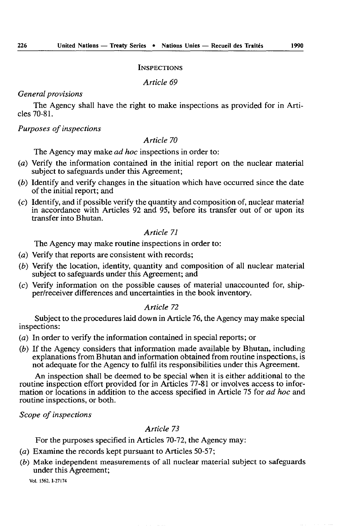### **INSPECTIONS**

*Article 69* 

*General provisions*

The Agency shall have the right to make inspections as provided for in Arti cles 70-81.

### *Purposes of inspections*

#### *Article 70*

The Agency may make *ad hoc* inspections in order to:

- *(a)* Verify the information contained in the initial report on the nuclear material subject to safeguards under this Agreement;
- *(b)* Identify and verify changes in the situation which have occurred since the date of the initial report; and
- (c) Identify, and if possible verify the quantity and composition of, nuclear material in accordance with Articles 92 and 95, before its transfer out of or upon its transfer into Bhutan.

# *Article 71*

The Agency may make routine inspections in order to:

- *(a)* Verify that reports are consistent with records;
- *(b)* Verify the location, identity, quantity and composition of all nuclear material subject to safeguards under this Agreement; and
- $(c)$  Verify information on the possible causes of material unaccounted for, shipper/receiver differences and uncertainties in the book inventory.

# *Article 72*

Subject to the procedures laid down in Article 76, the Agency may make special inspections:

- *(a)* In order to verify the information contained in special reports; or
- *(b)* If the Agency considers that information made available by Bhutan, including explanations from Bhutan and information obtained from routine inspections, is not adequate for the Agency to fulfil its responsibilities under this Agreement.

An inspection shall be deemed to be special when it is either additional to the routine inspection effort provided for in Articles 77-81 or involves access to infor mation or locations in addition to the access specified in Article 75 for *ad hoc* and routine inspections, or both.

*Scope of inspections*

# *Article 73*

For the purposes specified in Articles 70-72, the Agency may:

*(a)* Examine the records kept pursuant to Articles 50-57;

*(b)* Make independent measurements of all nuclear material subject to safeguards under this Agreement;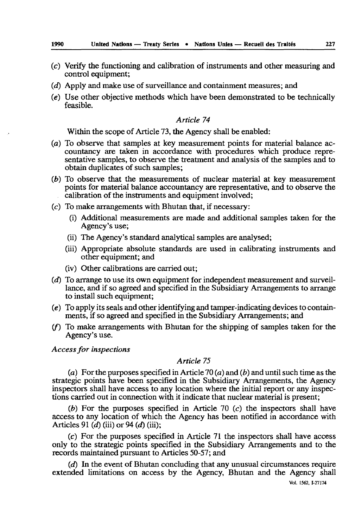- *(c)* Verify the functioning and calibration of instruments and other measuring and control equipment;
- *(d)* Apply and make use of surveillance and containment measures; and
- *(e)* Use other objective methods which have been demonstrated to be technically feasible.

Within the scope of Article 73, the Agency shall be enabled:

- *(a)* To observe that samples at key measurement points for material balance ac countancy are taken in accordance with procedures which produce repre sentative samples, to observe the treatment and analysis of the samples and to obtain duplicates of such samples;
- *(b)* To observe that the measurements of nuclear material at key measurement points for material balance accountancy are representative, and to observe the calibration of the instruments and equipment involved;
- (c) To make arrangements with Bhutan that, if necessary:
	- (i) Additional measurements are made and additional samples taken for the Agency's use;
	- (ii) The Agency's standard analytical samples are analysed;
	- (iii) Appropriate absolute standards are used in calibrating instruments and other equipment; and
	- (iv) Other calibrations are carried out;
- *(d)* To arrange to use its own equipment for independent measurement and surveil lance, and if so agreed and specified in the Subsidiary Arrangements to arrange to install such equipment;
- (e) To apply its seals and other identifying and tamper-indicating devices to contain ments, if so agreed and specified in the Subsidiary Arrangements; and
- *(f)* To make arrangements with Bhutan for the shipping of samples taken for the Agency's use.

*Access for inspections*

# *Article 75*

*(a)* For the purposes specified in Article 70 *(a)* and *(b)* and until such time as the strategic points have been specified in the Subsidiary Arrangements, the Agency inspectors shall have access to any location where the initial report or any inspec tions carried out in connection with it indicate that nuclear material is present;

*(b)* For the purposes specified in Article 70 (c) the inspectors shall have access to any location of which the Agency has been notified in accordance with Articles 91 *(d)* (iii) or 94 *(d)* (iii);

(c) For the purposes specified in Article 71 the inspectors shall have access only to the strategic points specified in the Subsidiary Arrangements and to the records maintained pursuant to Articles 50-57; and

*(d)* In the event of Bhutan concluding that any unusual circumstances require extended limitations on access by the Agency, Bhutan and the Agency shall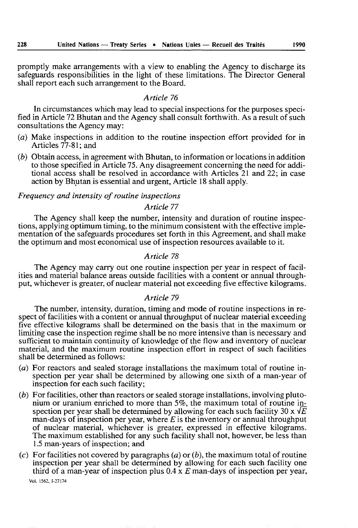promptly make arrangements with a view to enabling the Agency to discharge its safeguards responsibilities in the light of these limitations. The Director General shall report each such arrangement to the Board.

### *Article 76*

In circumstances which may lead to special inspections for the purposes speci fied in Article 72 Bhutan and the Agency shall consult forthwith. As a result of such consultations the Agency may:

- *(a)* Make inspections in addition to the routine inspection effort provided for in Articles 77-81; and
- *(b)* Obtain access, in agreement with Bhutan, to information or locations in addition to those specified in Article 75. Any disagreement concerning the need for addi tional access shall be resolved in accordance with Articles 21 and 22; in case action by Bhutan is essential and urgent, Article 18 shall apply.

#### *Frequency and intensity of routine inspections*

## *Article 77*

The Agency shall keep the number, intensity and duration of routine inspec tions, applying optimum timing, to the minimum consistent with the effective imple mentation of the safeguards procedures set forth in this Agreement, and shall make the optimum and most economical use of inspection resources available to it.

# *Article 78*

The Agency may carry out one routine inspection per year in respect of facil ities and material balance areas outside facilities with a content or annual through put, whichever is greater, of nuclear material not exceeding five effective kilograms.

## *Article 79*

The number, intensity, duration, timing and mode of routine inspections in re spect of facilities with a content or annual throughput of nuclear material exceeding five effective kilograms shall be determined on the basis that in the maximum or limiting case the inspection regime shall be no more intensive than is necessary and sufficient to maintain continuity of knowledge of the flow and inventory of nuclear material, and the maximum routine inspection effort in respect of such facilities shall be determined as follows:

- *(a)* For reactors and sealed storage installations the maximum total of routine in spection per year shall be determined by allowing one sixth of a man-year of inspection for each such facility;
- *(b)* For facilities, other than reactors or sealed storage installations, involving pluto nium or uranium enriched to more than 5%, the maximum total of routine in spection per year shall be determined by allowing for each such facility 30 x  $\sqrt{E}$ man-days of inspection per year, where *E* is the inventory or annual throughput of nuclear material, whichever is greater, expressed in effective kilograms. The maximum established for any such facility shall not, however, be less than 1.5 man-years of inspection; and
- $(c)$  For facilities not covered by paragraphs  $(a)$  or  $(b)$ , the maximum total of routine inspection per year shall be determined by allowing for each such facility one third of a man-year of inspection plus 0.4 x *E* man-days of inspection per year, Vol. 1562, 1-27174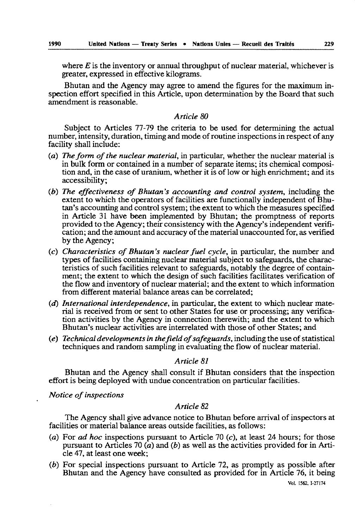where  $E$  is the inventory or annual throughput of nuclear material, whichever is greater, expressed in effective kilograms.

Bhutan and the Agency may agree to amend the figures for the maximum in spection effort specified in this Article, upon determination by the Board that such amendment is reasonable.

# *Article 80*

Subject to Articles 77-79 the criteria to be used for determining the actual number, intensity, duration, timing and mode of routine inspections in respect of any facility shall include:

- (a) *The form of the nuclear material,* in particular, whether the nuclear material is in bulk form or contained in a number of separate items; its chemical composi tion and, in the case of uranium, whether it is of low or high enrichment; and its accessibility;
- *(b) The effectiveness of Bhutan's accounting and control system,* including the extent to which the operators of facilities are functionally independent of Bhu tan's accounting and control system; the extent to which the measures specified in Article 31 have been implemented by Bhutan; the promptness of reports provided to the Agency; their consistency with the Agency's independent verifi cation; and the amount and accuracy of the material unaccounted for, as verified by the Agency;
- (c) *Characteristics of Bhutan's nuclear fuel cycle,* in particular, the number and types of facilities containing nuclear material subject to safeguards, the charac teristics of such facilities relevant to safeguards, notably the degree of contain ment; the extent to which the design of such facilities facilitates verification of the flow and inventory of nuclear material; and the extent to which information from different material balance areas can be correlated;
- *(d) International interdependence,* in particular, the extent to which nuclear mate rial is received from or sent to other States for use or processing; any verifica tion activities by the Agency in connection therewith; and the extent to which Bhutan's nuclear activities are interrelated with those of other States; and
- *(e) Technical developments in the field of safeguards,* including the use of statistical techniques and random sampling in evaluating the flow of nuclear material.

## *Article 81*

Bhutan and the Agency shall consult if Bhutan considers that the inspection effort is being deployed with undue concentration on particular facilities.

# *Notice of inspections*

# *Article 82*

The Agency shall give advance notice to Bhutan before arrival of inspectors at facilities or material balance areas outside facilities, as follows:

- (a) For *ad hoc* inspections pursuant to Article 70 (c), at least 24 hours; for those pursuant to Articles 70  $(a)$  and  $(b)$  as well as the activities provided for in Article 47, at least one week;
- *(b)* For special inspections pursuant to Article 72, as promptly as possible after Bhutan and the Agency have consulted as provided for in Article 76, it being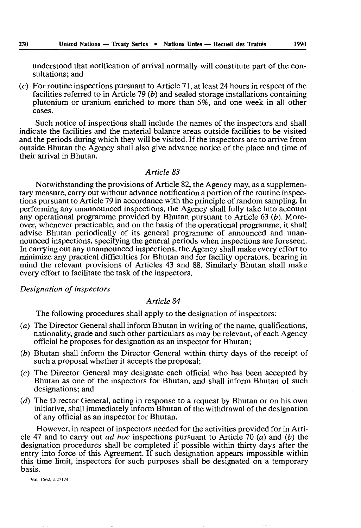understood that notification of arrival normally will constitute part of the con sultations; and

 $(c)$  For routine inspections pursuant to Article 71, at least 24 hours in respect of the facilities referred to in Article 79 *(b)* and sealed storage installations containing plutonium or uranium enriched to more than 5%, and one week in all other cases.

Such notice of inspections shall include the names of the inspectors and shall indicate the facilities and the material balance areas outside facilities to be visited and the periods during which they will be visited. If the inspectors are to arrive from outside Bhutan the Agency shall also give advance notice of the place and time of their arrival in Bhutan.

## *Article 83*

Notwithstanding the provisions of Article 82, the Agency may, as a supplemen tary measure, carry out without advance notification a portion of the routine inspec tions pursuant to Article 79 in accordance with the principle of random sampling. In performing any unannounced inspections, the Agency shall fully take into account any operational programme provided by Bhutan pursuant to Article 63 *(b).* More over, whenever practicable, and on the basis of the operational programme, it shall advise Bhutan periodically of its general programme of announced and unan nounced inspections, specifying the general periods when inspections are foreseen. In carrying out any unannounced inspections, the Agency shall make every effort to minimize any practical difficulties for Bhutan and for facility operators, bearing in mind the relevant provisions of Articles 43 and 88. Similarly Bhutan shall make every effort to facilitate the task of the inspectors.

*Designation of inspectors*

## *Article 84*

The following procedures shall apply to the designation of inspectors:

- (a) The Director General shall inform Bhutan in writing of the name, qualifications, nationality, grade and such other particulars as may be relevant, of each Agency official he proposes for designation as an inspector for Bhutan;
- *(b)* Bhutan shall inform the Director General within thirty days of the receipt of such a proposal whether it accepts the proposal;
- (c) The Director General may designate each official who has been accepted by Bhutan as one of the inspectors for Bhutan, and shall inform Bhutan of such designations; and
- *(d)* The Director General, acting in response to a request by Bhutan or on his own initiative, shall immediately inform Bhutan of the withdrawal of the designation of any official as an inspector for Bhutan.

However, in respect of inspectors needed for the activities provided for in Arti cle 47 and to carry out *ad hoc* inspections pursuant to Article 70 *(a)* and *(b)* the designation procedures shall be completed if possible within thirty days after the entry into force of this Agreement. If such designation appears impossible within this time limit, inspectors for such purposes shall be designated on a temporary basis.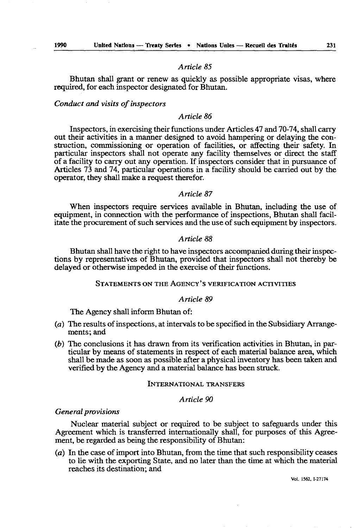Bhutan shall grant or renew as quickly as possible appropriate visas, where required, for each inspector designated for Bhutan.

#### *Conduct and visits of inspectors*

# *Article 86*

Inspectors, in exercising their functions under Articles 47 and 70-74, shall carry out their activities in a manner designed to avoid hampering or delaying the con struction, commissioning or operation of facilities, or affecting their safety. In particular inspectors shall not operate any facility themselves or direct the staff of a facility to carry out any operation. If inspectors consider that in pursuance of Articles 73 and 74, particular operations in a facility should be carried out by the operator, they shall make a request therefor.

### *Article 87*

When inspectors require services available in Bhutan, including the use of equipment, in connection with the performance of inspections, Bhutan shall facil itate the procurement of such services and the use of such equipment by inspectors.

#### *Article 88*

Bhutan shall have the right to have inspectors accompanied during their inspec tions by representatives of Bhutan, provided that inspectors shall not thereby be delayed or otherwise impeded in the exercise of their functions.

## STATEMENTS ON THE AGENCY'S VERIFICATION ACTIVITIES

### *Article 89*

The Agency shall inform Bhutan of:

- (a) The results of inspections, at intervals to be specified in the Subsidiary Arrange ments; and
- *(b)* The conclusions it has drawn from its verification activities in Bhutan, in par ticular by means of statements in respect of each material balance area, which shall be made as soon as possible after a physical inventory has been taken and verified by the Agency and a material balance has been struck.

#### INTERNATIONAL TRANSFERS

## *Article 90*

#### *General provisions*

Nuclear material subject or required to be subject to safeguards under this Agreement which is transferred internationally shall, for purposes of this Agree ment, be regarded as being the responsibility of Bhutan:

*(a)* In the case of import into Bhutan, from the time that such responsibility ceases to lie with the exporting State, and no later than the time at which the material reaches its destination; and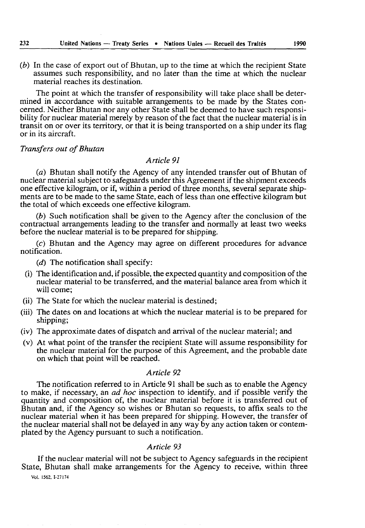*(b)* In the case of export out of Bhutan, up to the time at which the recipient State assumes such responsibility, and no later than the time at which the nuclear material reaches its destination.

The point at which the transfer of responsibility will take place shall be deter mined in accordance with suitable arrangements to be made by the States con cerned. Neither Bhutan nor any other State shall be deemed to have such responsi bility for nuclear material merely by reason of the fact that the nuclear material is in transit on or over its territory, or that it is being transported on a ship under its flag or in its aircraft.

#### *Transfers out of Bhutan*

# *Article 91*

*(a)* Bhutan shall notify the Agency of any intended transfer out of Bhutan of nuclear material subject to safeguards under this Agreement if the shipment exceeds one effective kilogram, or if, within a period of three months, several separate ship ments are to be made to the same State, each of less than one effective kilogram but the total of which exceeds one effective kilogram.

*(b)* Such notification shall be given to the Agency after the conclusion of the contractual arrangements leading to the transfer and normally at least two weeks before the nuclear material is to be prepared for shipping.

*(c)* Bhutan and the Agency may agree on different procedures for advance notification.

*(d)* The notification shall specify:

- (i) The identification and, if possible, the expected quantity and composition of the nuclear material to be transferred, and the material balance area from which it will come;
- (ii) The State for which the nuclear material is destined;
- (iii) The dates on and locations at which the nuclear material is to be prepared for shipping;
- (iv) The approximate dates of dispatch and arrival of the nuclear material; and
- (v) At what point of the transfer the recipient State will assume responsibility for the nuclear material for the purpose of this Agreement, and the probable date on which that point will be reached.

## *Article 92*

The notification referred to in Article 91 shall be such as to enable the Agency to make, if necessary, an *ad hoc* inspection to identify, and if possible verify the quantity and composition of, the nuclear material before it is transferred out of Bhutan and, if the Agency so wishes or Bhutan so requests, to affix seals to the nuclear material when it has been prepared for shipping. However, the transfer of the nuclear material shall not be delayed in any way by any action taken or contem plated by the Agency pursuant to such a notification.

# *Article 93*

If the nuclear material will not be subject to Agency safeguards in the recipient State, Bhutan shall make arrangements for the Agency to receive, within three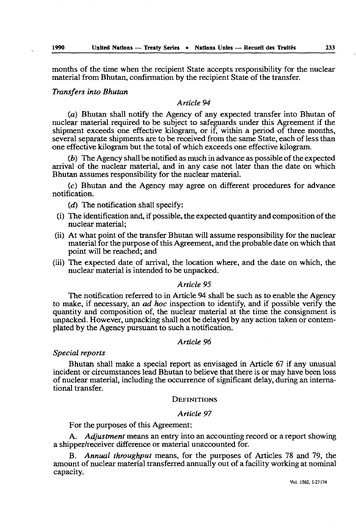months of the time when the recipient State accepts responsibility for the nuclear material from Bhutan, confirmation by the recipient State of the transfer.

# *Transfers into Bhutan*

# *Article 94*

*(a)* Bhutan shall notify the Agency of any expected transfer into Bhutan of nuclear material required to be subject to safeguards under this Agreement if the shipment exceeds one effective kilogram, or if, within a period of three months, several separate shipments are to be received from the same State, each of less than one effective kilogram but the total of which exceeds one effective kilogram.

*(b)* The Agency shall be notified as much in advance as possible of the expected arrival of the nuclear material, and in any case not later than the date on which Bhutan assumes responsibility for the nuclear material.

(c) Bhutan and the Agency may agree on different procedures for advance notification.

*(d)* The notification shall specify:

- (i) The identification and, if possible, the expected quantity and composition of the nuclear material;
- (ii) At what point of the transfer Bhutan will assume responsibility for the nuclear material for the purpose of this Agreement, and the probable date on which that point will be reached; and
- (iii) The expected date of arrival, the location where, and the date on which, the nuclear material is intended to be unpacked.

## *Article 95*

The notification referred to in Article 94 shall be such as to enable the Agency to make, if necessary, an *ad hoc* inspection to identify, and if possible verify the quantity and composition of, the nuclear material at the time the consignment is unpacked. However, unpacking shall not be delayed by any action taken or contem plated by the Agency pursuant to such a notification.

# *Article 96*

### *Special reports*

Bhutan shall make a special report as envisaged in Article 67 if any unusual incident or circumstances lead Bhutan to believe that there is or may have been loss of nuclear material, including the occurrence of significant delay, during an interna tional transfer.

### **DEFINITIONS**

# *Article 97*

For the purposes of this Agreement:

A. *Adjustment* means an entry into an accounting record or a report showing a shipper/receiver difference or material unaccounted for.

B. *Annual throughput* means, for the purposes of Articles 78 and 79, the amount of nuclear material transferred annually out of a facility working at nominal capacity.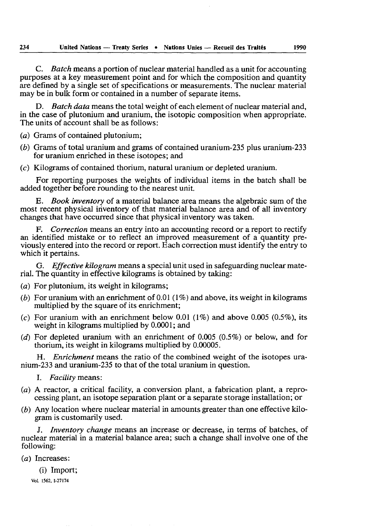C. *Batch* means a portion of nuclear material handled as a unit for accounting purposes at a key measurement point and for which the composition and quantity are defined by a single set of specifications or measurements. The nuclear material may be in bulk form or contained in a number of separate items.

D. *Batch data* means the total weight of each element of nuclear material and, in the case of plutonium and uranium, the isotopic composition when appropriate. The units of account shall be as follows:

*(a)* Grams of contained plutonium;

*(b)* Grams of total uranium and grams of contained uranium-235 plus uranium-233 for uranium enriched in these isotopes; and

(c) Kilograms of contained thorium, natural uranium or depleted uranium.

For reporting purposes the weights of individual items in the batch shall be added together before rounding to the nearest unit.

E. *Book inventory* of a material balance area means the algebraic sum of the most recent physical inventory of that material balance area and of all inventory changes that have occurred since that physical inventory was taken.

F. *Correction* means an entry into an accounting record or a report to rectify an identified mistake or to reflect an improved measurement of a quantity pre viously entered into the record or report. Each correction must identify the entry to which it pertains.

G. *Effective kilogram* means a special unit used in safeguarding nuclear mate rial. The quantity in effective kilograms is obtained by taking:

- *(a)* For plutonium, its weight in kilograms;
- *(b)* For uranium with an enrichment of 0.01 (1%) and above, its weight in kilograms multiplied by the square of its enrichment;
- (c) For uranium with an enrichment below 0.01 (1%) and above 0.005 (0.5%), its weight in kilograms multiplied by 0.0001; and
- *(d)* For depleted uranium with an enrichment of 0.005 (0.5%) or below, and for thorium, its weight in kilograms multiplied by 0.00005.

*Enrichment* means the ratio of the combined weight of the isotopes uranium-233 and uranium-235 to that of the total uranium in question.

- I. *Facility* means:
- *(a)* A reactor, a critical facility, a conversion plant, a fabrication plant, a repro cessing plant, an isotope separation plant or a separate storage installation; or
- *(b)* Any location where nuclear material in amounts greater than one effective kilo gram is customarily used.

J. *Inventory change* means an increase or decrease, in terms of batches, of nuclear material in a material balance area; such a change shall involve one of the following:

(*a*) Increases:

(i) Import;

Vol. 1562, I-27I74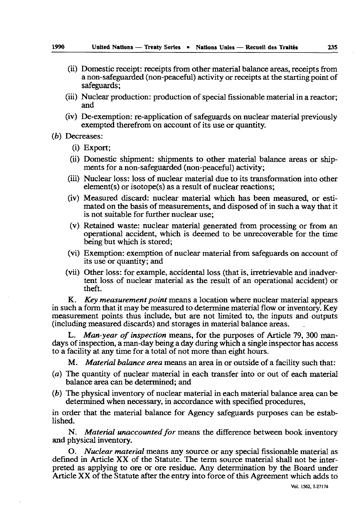- (ii) Domestic receipt: receipts from other material balance areas, receipts from a non-safeguarded (non-peaceful) activity or receipts at the starting point of safeguards;
- (iii) Nuclear production: production of special fissionable material in a reactor; and
- (iv) De-exemption: re-application of safeguards on nuclear material previously exempted therefrom on account of its use or quantity.
- (b) Decreases:
	- (i) Export;
	- (ii) Domestic shipment: shipments to other material balance areas or ship ments for a non-safeguarded (non-peaceful) activity;
	- (iii) Nuclear loss: loss of nuclear material due to its transformation into other element(s) or isotope(s) as a result of nuclear reactions;
	- (iv) Measured discard: nuclear material which has been measured, or esti mated on the basis of measurements, and disposed of in such a way that it is not suitable for further nuclear use;
	- (v) Retained waste: nuclear material generated from processing or from an operational accident, which is deemed to be unrecoverable for the time being but which is stored;
	- (vi) Exemption: exemption of nuclear material from safeguards on account of its use or quantity; and
	- (vii) Other loss: for example, accidental loss (that is, irretrievable and inadver tent loss of nuclear material as the result of an operational accident) or theft.

K. *Key measurement point* means a location where nuclear material appears in such a form that it may be measured to determine material flow or inventory. Key measurement points thus include, but are not limited to, the inputs and outputs (including measured discards) and storages in material balance areas.

L. *Man-year of inspection* means, for the purposes of Article 79, 300 mandays of inspection, a man-day being a day during which a single inspector has access to a facility at any time for a total of not more than eight hours.

M. *Material balance area* means an area in or outside of a facility such that:

- *(a)* The quantity of nuclear material in each transfer into or out of each material balance area can be determined; and
- (b) The physical inventory of nuclear material in each material balance area can be determined when necessary, in accordance with specified procedures,

in order that the material balance for Agency safeguards purposes can be established.

N. *Material unaccounted for* means the difference between book inventory and physical inventory.

O. *Nuclear material* means any source or any special fissionable material as defined in Article XX of the Statute. The term source material shall not be inter preted as applying to ore or ore residue. Any determination by the Board under Article XX of the Statute after the entry into force of this Agreement which adds to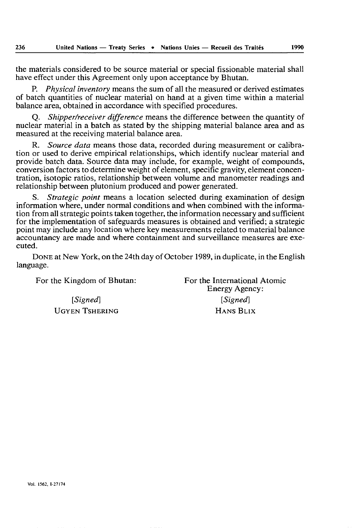the materials considered to be source material or special fissionable material shall have effect under this Agreement only upon acceptance by Bhutan.

P. *Physical inventory* means the sum of all the measured or derived estimates of batch quantities of nuclear material on hand at a given time within a material balance area, obtained in accordance with specified procedures.

Q. *Shipper/receiver difference* means the difference between the quantity of nuclear material in a batch as stated by the shipping material balance area and as measured at the receiving material balance area.

R. *Source data* means those data, recorded during measurement or calibra tion or used to derive empirical relationships, which identify nuclear material and provide batch data. Source data may include, for example, weight of compounds, conversion factors to determine weight of element, specific gravity, element concen tration, isotopic ratios, relationship between volume and manometer readings and relationship between plutonium produced and power generated.

Strategic point means a location selected during examination of design information where, under normal conditions and when combined with the informa tion from all strategic points taken together, the information necessary and sufficient for the implementation of safeguards measures is obtained and verified; a strategic point may include any location where key measurements related to material balance accountancy are made and where containment and surveillance measures are exe cuted.

DONE at New York, on the 24th day of October 1989, in duplicate, in the English language.

For the Kingdom of Bhutan: For the International Atomic

UGYEN TSHERING HANS BLIX

Energy Agency: *[Signed] [Signed]*